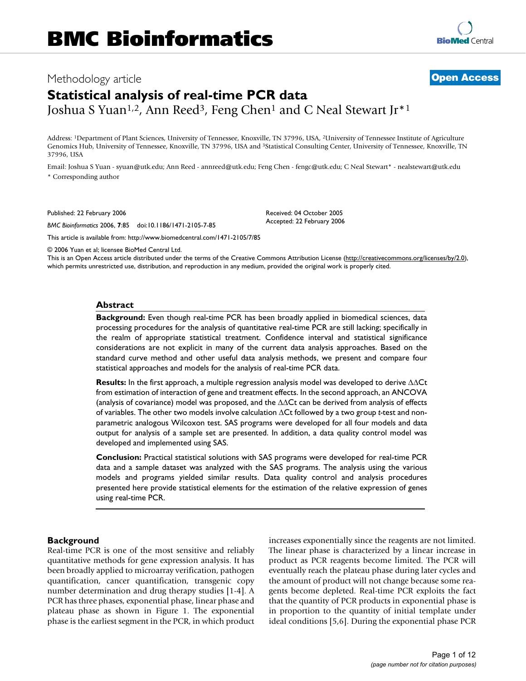# Methodology article **[Open Access](http://www.biomedcentral.com/info/about/charter/)**

# **Statistical analysis of real-time PCR data** Joshua S Yuan<sup>1,2</sup>, Ann Reed<sup>3</sup>, Feng Chen<sup>1</sup> and C Neal Stewart Jr<sup>\*1</sup>

Address: 1Department of Plant Sciences, University of Tennessee, Knoxville, TN 37996, USA, 2University of Tennessee Institute of Agriculture Genomics Hub, University of Tennessee, Knoxville, TN 37996, USA and 3Statistical Consulting Center, University of Tennessee, Knoxville, TN 37996, USA

Email: Joshua S Yuan - syuan@utk.edu; Ann Reed - annreed@utk.edu; Feng Chen - fengc@utk.edu; C Neal Stewart\* - nealstewart@utk.edu \* Corresponding author

Published: 22 February 2006

*BMC Bioinformatics* 2006, **7**:85 doi:10.1186/1471-2105-7-85

[This article is available from: http://www.biomedcentral.com/1471-2105/7/85](http://www.biomedcentral.com/1471-2105/7/85)

© 2006 Yuan et al; licensee BioMed Central Ltd.

This is an Open Access article distributed under the terms of the Creative Commons Attribution License [\(http://creativecommons.org/licenses/by/2.0\)](http://creativecommons.org/licenses/by/2.0), which permits unrestricted use, distribution, and reproduction in any medium, provided the original work is properly cited.

Received: 04 October 2005 Accepted: 22 February 2006

#### **Abstract**

**Background:** Even though real-time PCR has been broadly applied in biomedical sciences, data processing procedures for the analysis of quantitative real-time PCR are still lacking; specifically in the realm of appropriate statistical treatment. Confidence interval and statistical significance considerations are not explicit in many of the current data analysis approaches. Based on the standard curve method and other useful data analysis methods, we present and compare four statistical approaches and models for the analysis of real-time PCR data.

**Results:** In the first approach, a multiple regression analysis model was developed to derive ∆∆Ct from estimation of interaction of gene and treatment effects. In the second approach, an ANCOVA (analysis of covariance) model was proposed, and the ∆∆Ct can be derived from analysis of effects of variables. The other two models involve calculation ∆Ct followed by a two group *t-*test and nonparametric analogous Wilcoxon test. SAS programs were developed for all four models and data output for analysis of a sample set are presented. In addition, a data quality control model was developed and implemented using SAS.

**Conclusion:** Practical statistical solutions with SAS programs were developed for real-time PCR data and a sample dataset was analyzed with the SAS programs. The analysis using the various models and programs yielded similar results. Data quality control and analysis procedures presented here provide statistical elements for the estimation of the relative expression of genes using real-time PCR.

#### **Background**

Real-time PCR is one of the most sensitive and reliably quantitative methods for gene expression analysis. It has been broadly applied to microarray verification, pathogen quantification, cancer quantification, transgenic copy number determination and drug therapy studies [1-4]. A PCR has three phases, exponential phase, linear phase and plateau phase as shown in Figure 1. The exponential phase is the earliest segment in the PCR, in which product increases exponentially since the reagents are not limited. The linear phase is characterized by a linear increase in product as PCR reagents become limited. The PCR will eventually reach the plateau phase during later cycles and the amount of product will not change because some reagents become depleted. Real-time PCR exploits the fact that the quantity of PCR products in exponential phase is in proportion to the quantity of initial template under ideal conditions [5,6]. During the exponential phase PCR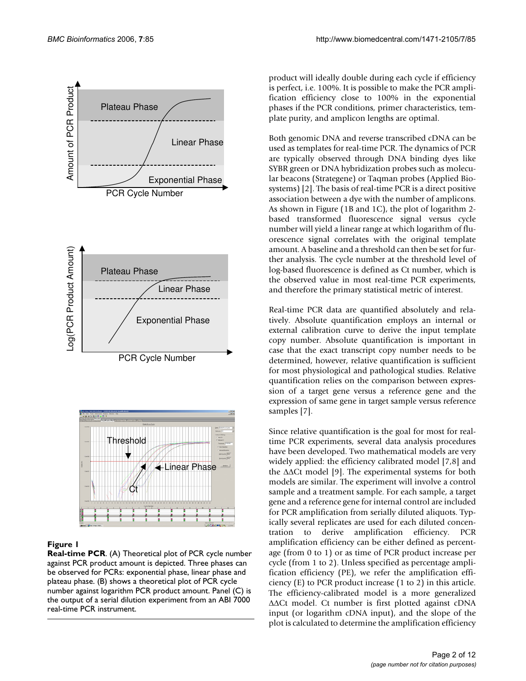

# **Figure 1**

**Real-time PCR**. (A) Theoretical plot of PCR cycle number against PCR product amount is depicted. Three phases can be observed for PCRs: exponential phase, linear phase and plateau phase. (B) shows a theoretical plot of PCR cycle number against logarithm PCR product amount. Panel (C) is the output of a serial dilution experiment from an ABI 7000 real-time PCR instrument.

product will ideally double during each cycle if efficiency is perfect, i.e. 100%. It is possible to make the PCR amplification efficiency close to 100% in the exponential phases if the PCR conditions, primer characteristics, template purity, and amplicon lengths are optimal.

Both genomic DNA and reverse transcribed cDNA can be used as templates for real-time PCR. The dynamics of PCR are typically observed through DNA binding dyes like SYBR green or DNA hybridization probes such as molecular beacons (Strategene) or Taqman probes (Applied Biosystems) [2]. The basis of real-time PCR is a direct positive association between a dye with the number of amplicons. As shown in Figure (1B and 1C), the plot of logarithm 2 based transformed fluorescence signal versus cycle number will yield a linear range at which logarithm of fluorescence signal correlates with the original template amount. A baseline and a threshold can then be set for further analysis. The cycle number at the threshold level of log-based fluorescence is defined as Ct number, which is the observed value in most real-time PCR experiments, and therefore the primary statistical metric of interest.

Real-time PCR data are quantified absolutely and relatively. Absolute quantification employs an internal or external calibration curve to derive the input template copy number. Absolute quantification is important in case that the exact transcript copy number needs to be determined, however, relative quantification is sufficient for most physiological and pathological studies. Relative quantification relies on the comparison between expression of a target gene versus a reference gene and the expression of same gene in target sample versus reference samples [7].

Since relative quantification is the goal for most for realtime PCR experiments, several data analysis procedures have been developed. Two mathematical models are very widely applied: the efficiency calibrated model [7,8] and the ∆∆Ct model [[9](#page-10-0)]. The experimental systems for both models are similar. The experiment will involve a control sample and a treatment sample. For each sample, a target gene and a reference gene for internal control are included for PCR amplification from serially diluted aliquots. Typically several replicates are used for each diluted concentration to derive amplification efficiency. PCR amplification efficiency can be either defined as percentage (from 0 to 1) or as time of PCR product increase per cycle (from 1 to 2). Unless specified as percentage amplification efficiency (PE), we refer the amplification efficiency (E) to PCR product increase (1 to 2) in this article. The efficiency-calibrated model is a more generalized ∆∆Ct model. Ct number is first plotted against cDNA input (or logarithm cDNA input), and the slope of the plot is calculated to determine the amplification efficiency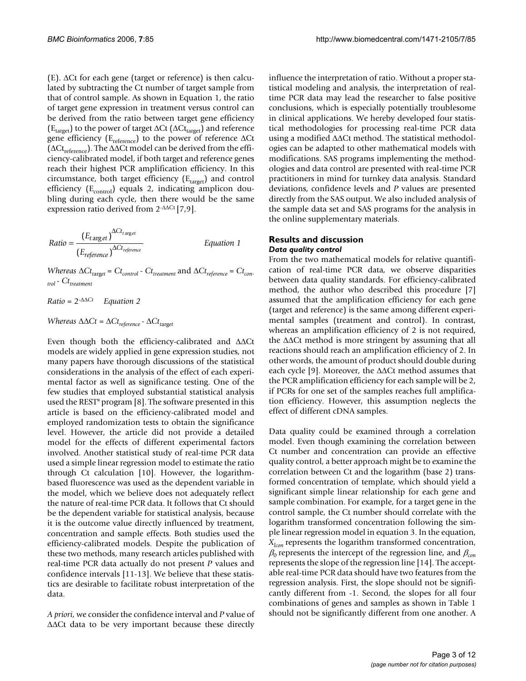(E). ∆Ct for each gene (target or reference) is then calculated by subtracting the Ct number of target sample from that of control sample. As shown in Equation 1, the ratio of target gene expression in treatment versus control can be derived from the ratio between target gene efficiency ( $E_{\text{target}}$ ) to the power of target ∆Ct ( $\Delta$ Ct<sub>target</sub>) and reference gene efficiency ( $E_{reference}$ ) to the power of reference  $\Delta$ Ct (∆Ct<sub>reference</sub>). The ∆∆Ct model can be derived from the efficiency-calibrated model, if both target and reference genes reach their highest PCR amplification efficiency. In this circumstance, both target efficiency  $(E<sub>target</sub>)$  and control efficiency  $(E_{control})$  equals 2, indicating amplicon doubling during each cycle, then there would be the same expression ratio derived from 2-∆∆Ct [7,[9](#page-10-0)].

Ratio = 
$$
\frac{(E_{t\, \text{arg}et})^{\Delta Ct_{t\, \text{arg}et}}}{(E_{reference})^{\Delta Ct_{reference}}}
$$
 Equation 1

*Whereas*  $\Delta C t_{target} = C t_{control} - C t_{treatment}$  and  $\Delta C t_{reference} = C t_{con}$ . *trol* - *Cttreatment*

 $Ratio = 2^{-\Delta \Delta Ct}$  *Equation 2* 

Whereas 
$$
\Delta \Delta Ct = \Delta Ct_{reference} - \Delta Ct_{target}
$$

Even though both the efficiency-calibrated and ∆∆Ct models are widely applied in gene expression studies, not many papers have thorough discussions of the statistical considerations in the analysis of the effect of each experimental factor as well as significance testing. One of the few studies that employed substantial statistical analysis used the REST® program [8]. The software presented in this article is based on the efficiency-calibrated model and employed randomization tests to obtain the significance level. However, the article did not provide a detailed model for the effects of different experimental factors involved. Another statistical study of real-time PCR data used a simple linear regression model to estimate the ratio through Ct calculation [10]. However, the logarithmbased fluorescence was used as the dependent variable in the model, which we believe does not adequately reflect the nature of real-time PCR data. It follows that Ct should be the dependent variable for statistical analysis, because it is the outcome value directly influenced by treatment, concentration and sample effects. Both studies used the efficiency-calibrated models. Despite the publication of these two methods, many research articles published with real-time PCR data actually do not present *P* values and confidence intervals [[11-](#page-10-1)[13\]](#page-10-2). We believe that these statistics are desirable to facilitate robust interpretation of the data.

*A priori*, we consider the confidence interval and *P* value of ∆∆Ct data to be very important because these directly influence the interpretation of ratio. Without a proper statistical modeling and analysis, the interpretation of realtime PCR data may lead the researcher to false positive conclusions, which is especially potentially troublesome in clinical applications. We hereby developed four statistical methodologies for processing real-time PCR data using a modified ∆∆Ct method. The statistical methodologies can be adapted to other mathematical models with modifications. SAS programs implementing the methodologies and data control are presented with real-time PCR practitioners in mind for turnkey data analysis. Standard deviations, confidence levels and *P* values are presented directly from the SAS output. We also included analysis of the sample data set and SAS programs for the analysis in the online supplementary materials.

#### **Results and discussion** *Data quality control*

From the two mathematical models for relative quantification of real-time PCR data, we observe disparities between data quality standards. For efficiency-calibrated method, the author who described this procedure [7] assumed that the amplification efficiency for each gene (target and reference) is the same among different experimental samples (treatment and control). In contrast, whereas an amplification efficiency of 2 is not required, the ∆∆Ct method is more stringent by assuming that all reactions should reach an amplification efficiency of 2. In other words, the amount of product should double during each cycle [\[9](#page-10-0)]. Moreover, the ∆∆Ct method assumes that the PCR amplification efficiency for each sample will be 2, if PCRs for one set of the samples reaches full amplification efficiency. However, this assumption neglects the effect of different cDNA samples.

Data quality could be examined through a correlation model. Even though examining the correlation between Ct number and concentration can provide an effective quality control, a better approach might be to examine the correlation between Ct and the logarithm (base 2) transformed concentration of template, which should yield a significant simple linear relationship for each gene and sample combination. For example, for a target gene in the control sample, the Ct number should correlate with the logarithm transformed concentration following the simple linear regression model in equation 3. In the equation, *Xlcon* represents the logarithm transformed concentration,  $\beta_0$  represents the intercept of the regression line, and  $\beta_{con}$ represents the slope of the regression line [14]. The acceptable real-time PCR data should have two features from the regression analysis. First, the slope should not be significantly different from -1. Second, the slopes for all four combinations of genes and samples as shown in Table 1 should not be significantly different from one another. A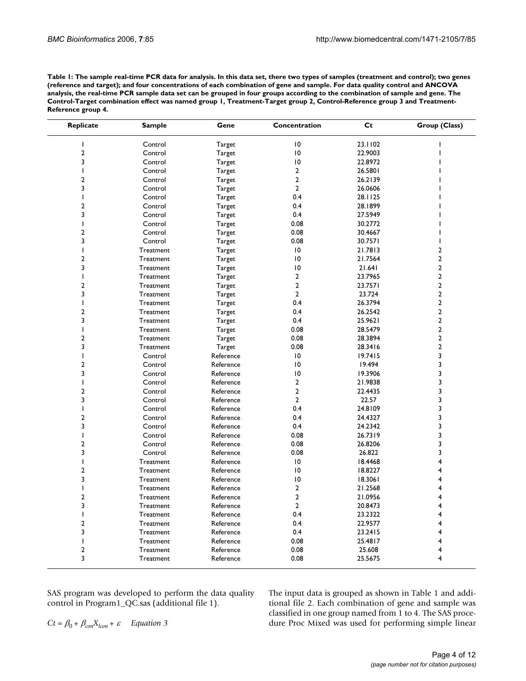**Table 1: The sample real-time PCR data for analysis. In this data set, there two types of samples (treatment and control); two genes (reference and target); and four concentrations of each combination of gene and sample. For data quality control and ANCOVA analysis, the real-time PCR sample data set can be grouped in four groups according to the combination of sample and gene. The Control-Target combination effect was named group 1, Treatment-Target group 2, Control-Reference group 3 and Treatment-Reference group 4.**

| <b>Replicate</b>        | <b>Sample</b> | Gene          | Concentration   | Ct      | Group (Class)           |
|-------------------------|---------------|---------------|-----------------|---------|-------------------------|
| $\mathbf{I}$            | Control       | Target        | 10              | 23.1102 | I.                      |
| $\overline{2}$          | Control       | Target        | 10              | 22.9003 | $\mathbf{I}$            |
| 3                       | Control       | <b>Target</b> | 10              | 22.8972 |                         |
| $\mathbf{I}$            | Control       | <b>Target</b> | $\overline{2}$  | 26.5801 |                         |
| $\overline{2}$          | Control       | Target        | $\overline{2}$  | 26.2139 |                         |
| 3                       | Control       | <b>Target</b> | $\overline{2}$  | 26.0606 | I.                      |
| $\mathbf{I}$            | Control       | <b>Target</b> | 0.4             | 28.1125 |                         |
| $\overline{2}$          | Control       | Target        | 0.4             | 28.1899 |                         |
| 3                       | Control       | Target        | 0.4             | 27.5949 |                         |
| $\mathbf{I}$            | Control       | <b>Target</b> | 0.08            | 30.2772 | I.                      |
| $\overline{2}$          | Control       | <b>Target</b> | 0.08            | 30.4667 | I.                      |
| 3                       | Control       | Target        | 0.08            | 30.7571 | $\mathbf{I}$            |
| $\mathbf{I}$            | Treatment     | <b>Target</b> | $\overline{10}$ | 21.7813 | $\overline{2}$          |
| $\overline{2}$          | Treatment     | <b>Target</b> | $\overline{10}$ | 21.7564 | $\overline{2}$          |
| 3                       | Treatment     | Target        | $\overline{10}$ | 21.641  | $\overline{2}$          |
| I                       | Treatment     | Target        | $\overline{2}$  | 23.7965 | $\overline{2}$          |
| $\mathbf{2}$            | Treatment     | Target        | $\overline{2}$  | 23.7571 | $\mathbf{2}$            |
| 3                       | Treatment     | <b>Target</b> | $\overline{2}$  | 23.724  | $\mathbf{2}$            |
| $\mathbf{I}$            | Treatment     | <b>Target</b> | 0.4             | 26.3794 | $\overline{2}$          |
| $\mathbf{2}$            | Treatment     | <b>Target</b> | 0.4             | 26.2542 | $\overline{2}$          |
| 3                       | Treatment     | Target        | 0.4             | 25.9621 | $\overline{2}$          |
| $\mathbf{I}$            | Treatment     | <b>Target</b> | 0.08            | 28.5479 | $\overline{2}$          |
| $\overline{2}$          | Treatment     | <b>Target</b> | 0.08            | 28.3894 | $\overline{2}$          |
| 3                       | Treatment     | <b>Target</b> | 0.08            | 28.3416 | $\overline{2}$          |
| $\mathbf{I}$            | Control       | Reference     | $\overline{10}$ | 19.7415 | 3                       |
| $\overline{2}$          | Control       | Reference     | 10              | 19.494  | 3                       |
| 3                       | Control       | Reference     | 10              | 19.3906 | 3                       |
| $\mathbf{I}$            | Control       | Reference     | $\overline{2}$  | 21.9838 | 3                       |
| $\overline{2}$          | Control       | Reference     | $\overline{2}$  | 22.4435 | $\mathsf 3$             |
| 3                       | Control       | Reference     | $\overline{2}$  | 22.57   | 3                       |
| $\mathbf{I}$            | Control       | Reference     | 0.4             | 24.8109 | 3                       |
| $\overline{2}$          | Control       | Reference     | 0.4             | 24.4327 | 3                       |
| 3                       | Control       | Reference     | 0.4             | 24.2342 | 3                       |
| $\mathbf{I}$            | Control       | Reference     | 0.08            | 26.7319 | 3                       |
| $\overline{2}$          | Control       | Reference     | 0.08            | 26.8206 | 3                       |
| 3                       | Control       | Reference     | 0.08            | 26.822  | 3                       |
| $\mathbf{I}$            | Treatment     | Reference     | $\overline{10}$ | 18.4468 | $\overline{4}$          |
| $\mathbf{2}$            | Treatment     | Reference     | 10              | 18.8227 | 4                       |
| 3                       | Treatment     | Reference     | 10              | 18.3061 | $\overline{\mathbf{4}}$ |
| $\mathbf{I}$            | Treatment     | Reference     | $\overline{2}$  | 21.2568 | $\overline{\mathbf{4}}$ |
| $\overline{2}$          | Treatment     | Reference     | $\overline{2}$  | 21.0956 | $\overline{4}$          |
| 3                       | Treatment     | Reference     | $\overline{2}$  | 20.8473 | $\overline{4}$          |
| $\mathbf{I}$            | Treatment     | Reference     | 0.4             | 23.2322 | $\overline{\mathbf{4}}$ |
| $\overline{2}$          | Treatment     | Reference     | 0.4             | 22.9577 | 4                       |
| 3                       | Treatment     | Reference     | 0.4             | 23.2415 | $\overline{\mathbf{4}}$ |
| $\mathbf{I}$            | Treatment     | Reference     | 0.08            | 25.4817 | 4                       |
| $\mathbf{2}$            | Treatment     | Reference     | 0.08            | 25.608  | 4                       |
| $\overline{\mathbf{3}}$ | Treatment     | Reference     | 0.08            | 25.5675 | 4                       |
|                         |               |               |                 |         |                         |

SAS program was developed to perform the data quality control in Program1\_QC.sas (additional file 1).

The input data is grouped as shown in Table 1 and additional file 2. Each combination of gene and sample was classified in one group named from 1 to 4. The SAS procedure Proc Mixed was used for performing simple linear

$$
Ct = \beta_0 + \beta_{con} X_{lcon} + \varepsilon \quad Equation \; 3
$$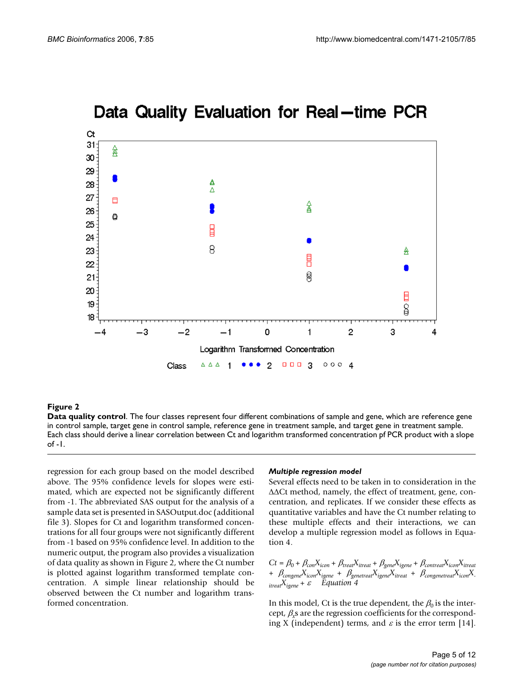

# Data Quality Evaluation for Real-time PCR

#### **Figure 2**

**Data quality control**. The four classes represent four different combinations of sample and gene, which are reference gene in control sample, target gene in control sample, reference gene in treatment sample, and target gene in treatment sample. Each class should derive a linear correlation between Ct and logarithm transformed concentration pf PCR product with a slope of -1.

regression for each group based on the model described above. The 95% confidence levels for slopes were estimated, which are expected not be significantly different from -1. The abbreviated SAS output for the analysis of a sample data set is presented in SASOutput.doc (additional file 3). Slopes for Ct and logarithm transformed concentrations for all four groups were not significantly different from -1 based on 95% confidence level. In addition to the numeric output, the program also provides a visualization of data quality as shown in Figure 2, where the Ct number is plotted against logarithm transformed template concentration. A simple linear relationship should be observed between the Ct number and logarithm transformed concentration.

#### *Multiple regression model*

Several effects need to be taken in to consideration in the ∆∆Ct method, namely, the effect of treatment, gene, concentration, and replicates. If we consider these effects as quantitative variables and have the Ct number relating to these multiple effects and their interactions, we can develop a multiple regression model as follows in Equation 4.

$$
Ct = \beta_0 + \beta_{con}X_{icon} + \beta_{treat}X_{itreat} + \beta_{gene}X_{igene} + \beta_{contract}X_{icon}X_{itreat}
$$
  
+ 
$$
\beta_{congene}X_{icon}X_{igene} + \beta_{generate}X_{igene}X_{itreat} + \beta_{congenerate}X_{icon}X_{iterat}
$$
  

$$
_{itreat}X_{igene} + \varepsilon
$$
 
$$
Equation 4
$$

In this model, Ct is the true dependent, the  $\beta_0$  is the intercept, β*x*s are the regression coefficients for the corresponding X (independent) terms, and  $\varepsilon$  is the error term [14].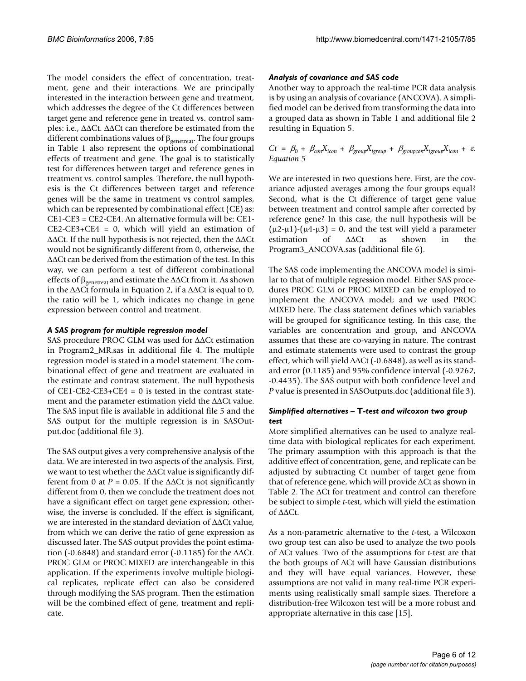The model considers the effect of concentration, treatment, gene and their interactions. We are principally interested in the interaction between gene and treatment, which addresses the degree of the Ct differences between target gene and reference gene in treated vs. control samples: i.e., ∆∆Ct. ∆∆Ct can therefore be estimated from the different combinations values of  $\beta_{\text{generate}}$ . The four groups in Table 1 also represent the options of combinational effects of treatment and gene. The goal is to statistically test for differences between target and reference genes in treatment vs. control samples. Therefore, the null hypothesis is the Ct differences between target and reference genes will be the same in treatment vs control samples, which can be represented by combinational effect (CE) as: CE1-CE3 = CE2-CE4. An alternative formula will be: CE1-  $CE2-CE3+CE4 = 0$ , which will yield an estimation of ∆∆Ct. If the null hypothesis is not rejected, then the ∆∆Ct would not be significantly different from 0, otherwise, the ∆∆Ct can be derived from the estimation of the test. In this way, we can perform a test of different combinational effects of  $\beta_{\text{generated}}$  and estimate the ∆∆Ct from it. As shown in the ∆∆Ct formula in Equation 2, if a ∆∆Ct is equal to 0, the ratio will be 1, which indicates no change in gene expression between control and treatment.

#### *A SAS program for multiple regression model*

SAS procedure PROC GLM was used for ∆∆Ct estimation in Program2\_MR.sas in additional file 4. The multiple regression model is stated in a model statement. The combinational effect of gene and treatment are evaluated in the estimate and contrast statement. The null hypothesis of  $CE1-CE2-CE3+CE4 = 0$  is tested in the contrast statement and the parameter estimation yield the ∆∆Ct value. The SAS input file is available in additional file 5 and the SAS output for the multiple regression is in SASOutput.doc (additional file 3).

The SAS output gives a very comprehensive analysis of the data. We are interested in two aspects of the analysis. First, we want to test whether the ∆∆Ct value is significantly different from 0 at  $P = 0.05$ . If the  $\Delta\Delta$ Ct is not significantly different from 0, then we conclude the treatment does not have a significant effect on target gene expression; otherwise, the inverse is concluded. If the effect is significant, we are interested in the standard deviation of ∆∆Ct value, from which we can derive the ratio of gene expression as discussed later. The SAS output provides the point estimation (-0.6848) and standard error (-0.1185) for the ∆∆Ct. PROC GLM or PROC MIXED are interchangeable in this application. If the experiments involve multiple biological replicates, replicate effect can also be considered through modifying the SAS program. Then the estimation will be the combined effect of gene, treatment and replicate.

#### *Analysis of covariance and SAS code*

Another way to approach the real-time PCR data analysis is by using an analysis of covariance (ANCOVA). A simplified model can be derived from transforming the data into a grouped data as shown in Table 1 and additional file 2 resulting in Equation 5.

$$
Ct = \beta_0 + \beta_{con} X_{icon} + \beta_{group} X_{igroup} + \beta_{group} X_{igroup} X_{iconp} + \varepsilon.
$$
  
Equation 5

We are interested in two questions here. First, are the covariance adjusted averages among the four groups equal? Second, what is the Ct difference of target gene value between treatment and control sample after corrected by reference gene? In this case, the null hypothesis will be  $(\mu 2-\mu 1)$ - $(\mu 4-\mu 3) = 0$ , and the test will yield a parameter estimation of ∆∆Ct as shown in the Program3\_ANCOVA.sas (additional file 6).

The SAS code implementing the ANCOVA model is similar to that of multiple regression model. Either SAS procedures PROC GLM or PROC MIXED can be employed to implement the ANCOVA model; and we used PROC MIXED here. The class statement defines which variables will be grouped for significance testing. In this case, the variables are concentration and group, and ANCOVA assumes that these are co-varying in nature. The contrast and estimate statements were used to contrast the group effect, which will yield ∆∆Ct (-0.6848), as well as its standard error (0.1185) and 95% confidence interval (-0.9262, -0.4435). The SAS output with both confidence level and *P* value is presented in SASOutputs.doc (additional file 3).

#### *Simplified alternatives –* **T***-test and wilcoxon two group test*

More simplified alternatives can be used to analyze realtime data with biological replicates for each experiment. The primary assumption with this approach is that the additive effect of concentration, gene, and replicate can be adjusted by subtracting Ct number of target gene from that of reference gene, which will provide ∆Ct as shown in Table 2. The ∆Ct for treatment and control can therefore be subject to simple *t*-test, which will yield the estimation of ∆∆Ct.

As a non-parametric alternative to the *t*-test, a Wilcoxon two group test can also be used to analyze the two pools of ∆Ct values. Two of the assumptions for *t-*test are that the both groups of ∆Ct will have Gaussian distributions and they will have equal variances. However, these assumptions are not valid in many real-time PCR experiments using realistically small sample sizes. Therefore a distribution-free Wilcoxon test will be a more robust and appropriate alternative in this case [15].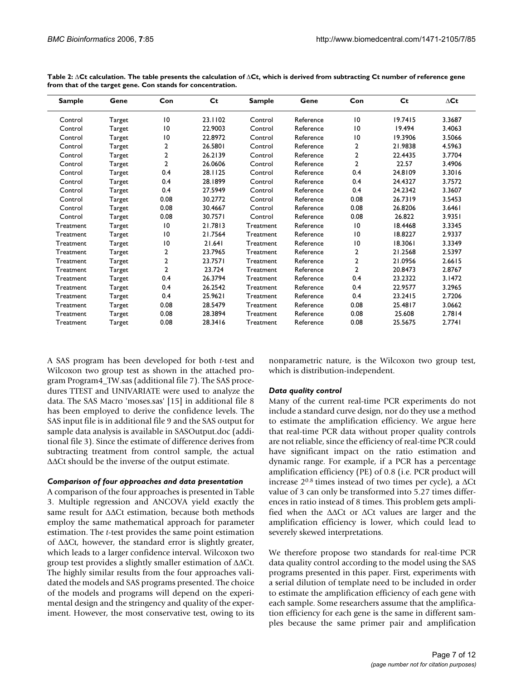| <b>Sample</b> | Gene   | Con             | $ct$    | <b>Sample</b> | Gene      | Con             | $ct$    | $\Delta$ Ct |
|---------------|--------|-----------------|---------|---------------|-----------|-----------------|---------|-------------|
| Control       | Target | 10              | 23.1102 | Control       | Reference | $\overline{0}$  | 19.7415 | 3.3687      |
| Control       | Target | $\overline{10}$ | 22.9003 | Control       | Reference | $\overline{10}$ | 19.494  | 3.4063      |
| Control       | Target | 10              | 22.8972 | Control       | Reference | 10              | 19.3906 | 3.5066      |
| Control       | Target | 2               | 26.5801 | Control       | Reference | 2               | 21.9838 | 4.5963      |
| Control       | Target | 2               | 26.2139 | Control       | Reference | 2               | 22.4435 | 3.7704      |
| Control       | Target | $\overline{a}$  | 26.0606 | Control       | Reference | $\overline{2}$  | 22.57   | 3.4906      |
| Control       | Target | 0.4             | 28.1125 | Control       | Reference | 0.4             | 24.8109 | 3.3016      |
| Control       | Target | 0.4             | 28.1899 | Control       | Reference | 0.4             | 24.4327 | 3.7572      |
| Control       | Target | 0.4             | 27.5949 | Control       | Reference | 0.4             | 24.2342 | 3.3607      |
| Control       | Target | 0.08            | 30.2772 | Control       | Reference | 0.08            | 26.7319 | 3.5453      |
| Control       | Target | 0.08            | 30.4667 | Control       | Reference | 0.08            | 26.8206 | 3.6461      |
| Control       | Target | 0.08            | 30.7571 | Control       | Reference | 0.08            | 26.822  | 3.9351      |
| Treatment     | Target | 10              | 21.7813 | Treatment     | Reference | 10              | 18.4468 | 3.3345      |
| Treatment     | Target | 10              | 21.7564 | Treatment     | Reference | $\overline{10}$ | 18.8227 | 2.9337      |
| Treatment     | Target | 10              | 21.641  | Treatment     | Reference | 10              | 18.3061 | 3.3349      |
| Treatment     | Target | 2               | 23.7965 | Treatment     | Reference | 2               | 21.2568 | 2.5397      |
| Treatment     | Target | $\overline{2}$  | 23.7571 | Treatment     | Reference | $\overline{2}$  | 21.0956 | 2.6615      |
| Treatment     | Target | $\overline{2}$  | 23.724  | Treatment     | Reference | 2               | 20.8473 | 2.8767      |
| Treatment     | Target | 0.4             | 26.3794 | Treatment     | Reference | 0.4             | 23.2322 | 3.1472      |
| Treatment     | Target | 0.4             | 26.2542 | Treatment     | Reference | 0.4             | 22.9577 | 3.2965      |
| Treatment     | Target | 0.4             | 25.9621 | Treatment     | Reference | 0.4             | 23.2415 | 2.7206      |
| Treatment     | Target | 0.08            | 28.5479 | Treatment     | Reference | 0.08            | 25.4817 | 3.0662      |
| Treatment     | Target | 0.08            | 28.3894 | Treatment     | Reference | 0.08            | 25.608  | 2.7814      |
| Treatment     | Target | 0.08            | 28.3416 | Treatment     | Reference | 0.08            | 25.5675 | 2.7741      |

**Table 2:** ∆**Ct calculation. The table presents the calculation of** ∆**Ct, which is derived from subtracting Ct number of reference gene from that of the target gene. Con stands for concentration.**

A SAS program has been developed for both *t-*test and Wilcoxon two group test as shown in the attached program Program4\_TW.sas (additional file 7). The SAS procedures TTEST and UNIVARIATE were used to analyze the data. The SAS Macro 'moses.sas' [15] in additional file 8 has been employed to derive the confidence levels. The SAS input file is in additional file 9 and the SAS output for sample data analysis is available in SASOutput.doc (additional file 3). Since the estimate of difference derives from subtracting treatment from control sample, the actual ∆∆Ct should be the inverse of the output estimate.

#### *Comparison of four approaches and data presentation*

A comparison of the four approaches is presented in Table 3. Multiple regression and ANCOVA yield exactly the same result for ∆∆Ct estimation, because both methods employ the same mathematical approach for parameter estimation. The *t*-test provides the same point estimation of ∆∆Ct, however, the standard error is slightly greater, which leads to a larger confidence interval. Wilcoxon two group test provides a slightly smaller estimation of ∆∆Ct. The highly similar results from the four approaches validated the models and SAS programs presented. The choice of the models and programs will depend on the experimental design and the stringency and quality of the experiment. However, the most conservative test, owing to its

nonparametric nature, is the Wilcoxon two group test, which is distribution-independent.

#### *Data quality control*

Many of the current real-time PCR experiments do not include a standard curve design, nor do they use a method to estimate the amplification efficiency. We argue here that real-time PCR data without proper quality controls are not reliable, since the efficiency of real-time PCR could have significant impact on the ratio estimation and dynamic range. For example, if a PCR has a percentage amplification efficiency (PE) of 0.8 (i.e. PCR product will increase 20.8 times instead of two times per cycle), a ∆Ct value of 3 can only be transformed into 5.27 times differences in ratio instead of 8 times. This problem gets amplified when the ∆∆Ct or ∆Ct values are larger and the amplification efficiency is lower, which could lead to severely skewed interpretations.

We therefore propose two standards for real-time PCR data quality control according to the model using the SAS programs presented in this paper. First, experiments with a serial dilution of template need to be included in order to estimate the amplification efficiency of each gene with each sample. Some researchers assume that the amplification efficiency for each gene is the same in different samples because the same primer pair and amplification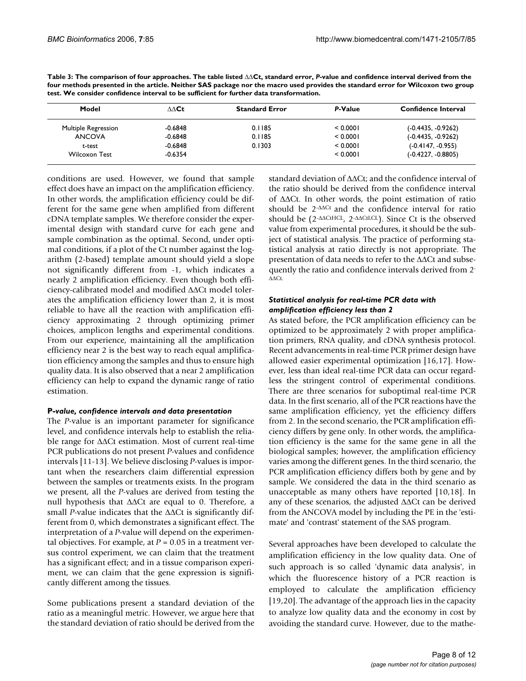| Model                | $\wedge\wedge$ Ct | <b>Standard Error</b> | P-Value  | <b>Confidence Interval</b> |
|----------------------|-------------------|-----------------------|----------|----------------------------|
| Multiple Regression  | $-0.6848$         | 0.1185                | < 0.0001 | $(-0.4435, -0.9262)$       |
| <b>ANCOVA</b>        | $-0.6848$         | 0.1185                | < 0.0001 | $(-0.4435, -0.9262)$       |
| t-test               | $-0.6848$         | 0.1303                | < 0.0001 | (-0.4147, -0.955)          |
| <b>Wilcoxon Test</b> | $-0.6354$         |                       | < 0.0001 | $(-0.4227, -0.8805)$       |

**Table 3: The comparison of four approaches. The table listed** ∆∆**Ct, standard error,** *P***-value and confidence interval derived from the four methods presented in the article. Neither SAS package nor the macro used provides the standard error for Wilcoxon two group test. We consider confidence interval to be sufficient for further data transformation.**

conditions are used. However, we found that sample effect does have an impact on the amplification efficiency. In other words, the amplification efficiency could be different for the same gene when amplified from different cDNA template samples. We therefore consider the experimental design with standard curve for each gene and sample combination as the optimal. Second, under optimal conditions, if a plot of the Ct number against the logarithm (2-based) template amount should yield a slope not significantly different from -1, which indicates a nearly 2 amplification efficiency. Even though both efficiency-calibrated model and modified ∆∆Ct model tolerates the amplification efficiency lower than 2, it is most reliable to have all the reaction with amplification efficiency approximating 2 through optimizing primer choices, amplicon lengths and experimental conditions. From our experience, maintaining all the amplification efficiency near 2 is the best way to reach equal amplification efficiency among the samples and thus to ensure high quality data. It is also observed that a near 2 amplification efficiency can help to expand the dynamic range of ratio estimation.

#### **P***-value, confidence intervals and data presentation*

The *P*-value is an important parameter for significance level, and confidence intervals help to establish the reliable range for ∆∆Ct estimation. Most of current real-time PCR publications do not present *P*-values and confidence intervals [\[11](#page-10-1)[-13](#page-10-2)]. We believe disclosing *P*-values is important when the researchers claim differential expression between the samples or treatments exists. In the program we present, all the *P*-values are derived from testing the null hypothesis that ∆∆Ct are equal to 0. Therefore, a small *P*-value indicates that the ∆∆Ct is significantly different from 0, which demonstrates a significant effect. The interpretation of a *P-*value will depend on the experimental objectives. For example, at  $P = 0.05$  in a treatment versus control experiment, we can claim that the treatment has a significant effect; and in a tissue comparison experiment, we can claim that the gene expression is significantly different among the tissues.

Some publications present a standard deviation of the ratio as a meaningful metric. However, we argue here that the standard deviation of ratio should be derived from the

standard deviation of ∆∆Ct; and the confidence interval of the ratio should be derived from the confidence interval of ∆∆Ct. In other words, the point estimation of ratio should be 2-∆∆Ct and the confidence interval for ratio should be (2-∆△CtHCL, 2-△△CtLCL). Since Ct is the observed value from experimental procedures, it should be the subject of statistical analysis. The practice of performing statistical analysis at ratio directly is not appropriate. The presentation of data needs to refer to the ∆∆Ct and subsequently the ratio and confidence intervals derived from 2- ∆∆Ct.

#### *Statistical analysis for real-time PCR data with amplification efficiency less than 2*

As stated before, the PCR amplification efficiency can be optimized to be approximately 2 with proper amplification primers, RNA quality, and cDNA synthesis protocol. Recent advancements in real-time PCR primer design have allowed easier experimental optimization [16,17]. However, less than ideal real-time PCR data can occur regardless the stringent control of experimental conditions. There are three scenarios for suboptimal real-time PCR data. In the first scenario, all of the PCR reactions have the same amplification efficiency, yet the efficiency differs from 2. In the second scenario, the PCR amplification efficiency differs by gene only. In other words, the amplification efficiency is the same for the same gene in all the biological samples; however, the amplification efficiency varies among the different genes. In the third scenario, the PCR amplification efficiency differs both by gene and by sample. We considered the data in the third scenario as unacceptable as many others have reported [10,18]. In any of these scenarios, the adjusted ∆∆Ct can be derived from the ANCOVA model by including the PE in the 'estimate' and 'contrast' statement of the SAS program.

Several approaches have been developed to calculate the amplification efficiency in the low quality data. One of such approach is so called 'dynamic data analysis', in which the fluorescence history of a PCR reaction is employed to calculate the amplification efficiency [19,20]. The advantage of the approach lies in the capacity to analyze low quality data and the economy in cost by avoiding the standard curve. However, due to the mathe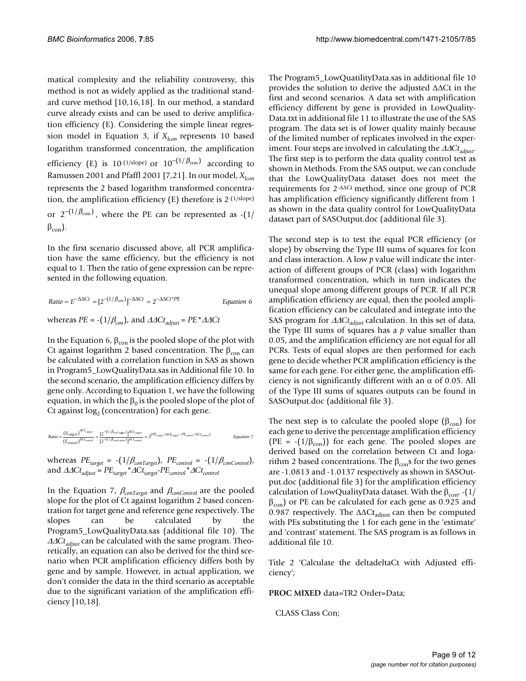matical complexity and the reliability controversy, this method is not as widely applied as the traditional standard curve method [10,16,18]. In our method, a standard curve already exists and can be used to derive amplification efficiency (E). Considering the simple linear regression model in Equation 3, if  $X_{lcon}$  represents 10 based logarithm transformed concentration, the amplification efficiency (E) is 10<sup>-(1/slope)</sup> or  $10^{-(1/\beta_{\text{con}})}$  according to Ramussen 2001 and Pfaffl 2001 [7,21]. In our model, *Xlcon* represents the 2 based logarithm transformed concentration, the amplification efficiency  $(E)$  therefore is  $2-(1/\text{slope})$ or  $2^{-(1/\beta_{\text{con}})}$ , where the PE can be represented as -(1/  $\beta_{con}$ ).

In the first scenario discussed above, all PCR amplification have the same efficiency, but the efficiency is not equal to 1. Then the ratio of gene expression can be represented in the following equation.

Ratio = 
$$
E^{-\Delta\Delta Ct}
$$
 =  $[2^{-(1/\beta_{con})}]^{-\Delta\Delta Ct}$  =  $2^{-\Delta\Delta Ct^*PE}$  Equation 6  
whereas  $PE$  =  $-(1/\beta_{con})$ , and  $\Delta\Delta Ct_{adjust}$  =  $PE^*\Delta\Delta Ct$ 

In the Equation 6,  $β_{con}$  is the pooled slope of the plot with Ct against logarithm 2 based concentration. The  $\beta_{con}$  can be calculated with a correlation function in SAS as shown in Program5\_LowQualityData.sas in Additional file 10. In the second scenario, the amplification efficiency differs by gene only. According to Equation 1, we have the following equation, in which the  $\beta_0$  is the pooled slope of the plot of Ct against  $log<sub>2</sub>$  (concentration) for each gene.

$$
Ratio = \frac{(E_{target})^{\Delta C_{target}}}{(E_{control})^{\Delta C_{control}}} = \frac{\left[2^{-\left(1/\beta_{control\_arget}\right)}\right]^{\Delta C_{target}}}{\left[2^{-\left(1/\beta_{control\_control}\right)}\right]^{\Delta C_{control}}} = 2^{\left\{PE_{target} * \Delta C_{target} - PE_{control} * \Delta C_{control}\right\}}}
$$
 Equation 7

whereas  $PE_{target} = -(1/\beta_{conTarget})$ ,  $PE_{control} = -(1/\beta_{conControl})$ , and ∆∆*Ctadjust* = *PEtarget\**∆*Cttarget*-*PEcontrol\**∆*Ctcontrol*

In the Equation 7, β*conTarget* and β*conControl* are the pooled slope for the plot of Ct against logarithm 2 based concentration for target gene and reference gene respectively. The slopes can be calculated by the Program5\_LowQualityData.sas (additional file 10). The ∆∆*Ctadjust* can be calculated with the same program. Theoretically, an equation can also be derived for the third scenario when PCR amplification efficiency differs both by gene and by sample. However, in actual application, we don't consider the data in the third scenario as acceptable due to the significant variation of the amplification efficiency [10,18].

The Program5\_LowQuatilityData.sas in additional file 10 provides the solution to derive the adjusted ∆∆Ct in the first and second scenarios. A data set with amplification efficiency different by gene is provided in LowQuality-Data.txt in additional file 11 to illustrate the use of the SAS program. The data set is of lower quality mainly because of the limited number of replicates involved in the experiment. Four steps are involved in calculating the ∆∆*Ctadjust*. The first step is to perform the data quality control test as shown in Methods. From the SAS output, we can conclude that the LowQualityData dataset does not meet the requirements for 2-∆∆Ct method, since one group of PCR has amplification efficiency significantly different from 1 as shown in the data quality control for LowQualityData dataset part of SASOutput.doc (additional file 3).

The second step is to test the equal PCR efficiency (or slope) by observing the Type III sums of squares for lcon and class interaction. A low *p* value will indicate the interaction of different groups of PCR (class) with logarithm transformed concentration, which in turn indicates the unequal slope among different groups of PCR. If all PCR amplification efficiency are equal, then the pooled amplification efficiency can be calculated and integrate into the SAS program for ∆∆*Ct<sub>adjust</sub>* calculation. In this set of data, the Type III sums of squares has a *p* value smaller than 0.05, and the amplification efficiency are not equal for all PCRs. Tests of equal slopes are then performed for each gene to decide whether PCR amplification efficiency is the same for each gene. For either gene, the amplification efficiency is not significantly different with an  $\alpha$  of 0.05. All of the Type III sums of squares outputs can be found in SASOutput.doc (additional file 3).

The next step is to calculate the pooled slope  $(\beta_{\text{con}})$  for each gene to derive the percentage amplification efficiency (PE =  $-(1/\beta_{\text{con}})$ ) for each gene. The pooled slopes are derived based on the correlation between Ct and logarithm 2 based concentrations. The  $\beta_{\rm con}$ s for the two genes are -1.0813 and -1.0137 respectively as shown in SASOutput.doc (additional file 3) for the amplification efficiency calculation of LowQualityData dataset. With the  $\beta_{\text{con'}}$  -(1/  $\beta_{\rm con}$ ) or PE can be calculated for each gene as 0.925 and 0.987 respectively. The ∆∆Ct<sub>adjust</sub> can then be computed with PEs substituting the 1 for each gene in the 'estimate' and 'contrast' statement. The SAS program is as follows in additional file 10.

Title 2 'Calculate the deltadeltaCt with Adjusted efficiency';

**PROC MIXED** data=TR2 Order=Data;

CLASS Class Con;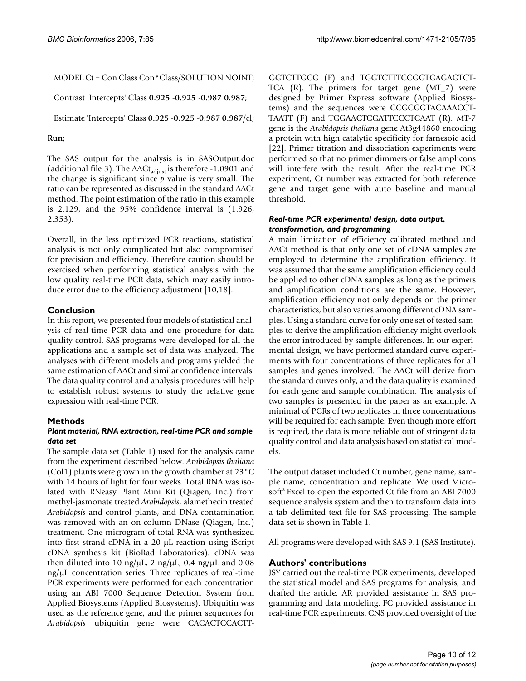MODEL Ct = Con Class Con\*Class/SOLUTION NOINT;

Contrast 'Intercepts' Class **0.925** -**0.925** -**0.987 0.987**;

Estimate 'Intercepts' Class **0.925** -**0.925** -**0.987 0.987**/cl;

### **Run**;

The SAS output for the analysis is in SASOutput.doc (additional file 3). The  $\Delta \Delta \text{C}_{\text{adjust}}$  is therefore -1.0901 and the change is significant since *p* value is very small. The ratio can be represented as discussed in the standard ∆∆Ct method. The point estimation of the ratio in this example is 2.129, and the 95% confidence interval is (1.926, 2.353).

Overall, in the less optimized PCR reactions, statistical analysis is not only complicated but also compromised for precision and efficiency. Therefore caution should be exercised when performing statistical analysis with the low quality real-time PCR data, which may easily introduce error due to the efficiency adjustment [10,18].

# **Conclusion**

In this report, we presented four models of statistical analysis of real-time PCR data and one procedure for data quality control. SAS programs were developed for all the applications and a sample set of data was analyzed. The analyses with different models and programs yielded the same estimation of ∆∆Ct and similar confidence intervals. The data quality control and analysis procedures will help to establish robust systems to study the relative gene expression with real-time PCR.

# **Methods**

### *Plant material, RNA extraction, real-time PCR and sample data set*

The sample data set (Table 1) used for the analysis came from the experiment described below. *Arabidopsis thaliana* (Col1) plants were grown in the growth chamber at  $23^{\circ}$ C with 14 hours of light for four weeks. Total RNA was isolated with RNeasy Plant Mini Kit (Qiagen, Inc.) from methyl-jasmonate treated *Arabidopsis*, alamethecin treated *Arabidopsis* and control plants, and DNA contamination was removed with an on-column DNase (Qiagen, Inc.) treatment. One microgram of total RNA was synthesized into first strand cDNA in a 20 µL reaction using iScript cDNA synthesis kit (BioRad Laboratories). cDNA was then diluted into 10 ng/ $\mu$ L, 2 ng/ $\mu$ L, 0.4 ng/ $\mu$ L and 0.08  $ng/µ$ L concentration series. Three replicates of real-time PCR experiments were performed for each concentration using an ABI 7000 Sequence Detection System from Applied Biosystems (Applied Biosystems). Ubiquitin was used as the reference gene, and the primer sequences for *Arabidopsis* ubiquitin gene were CACACTCCACTT-

GGTCTTGCG (F) and TGGTCTTTCCGGTGAGAGTCT-TCA (R). The primers for target gene (MT\_7) were designed by Primer Express software (Applied Biosystems) and the sequences were CCGCGGTACAAACCT-TAATT (F) and TGGAACTCGATTCCCTCAAT (R). MT-7 gene is the *Arabidopsis thaliana* gene At3g44860 encoding a protein with high catalytic specificity for farnesoic acid [22]. Primer titration and dissociation experiments were performed so that no primer dimmers or false amplicons will interfere with the result. After the real-time PCR experiment, Ct number was extracted for both reference gene and target gene with auto baseline and manual threshold.

#### *Real-time PCR experimental design, data output, transformation, and programming*

A main limitation of efficiency calibrated method and ∆∆Ct method is that only one set of cDNA samples are employed to determine the amplification efficiency. It was assumed that the same amplification efficiency could be applied to other cDNA samples as long as the primers and amplification conditions are the same. However, amplification efficiency not only depends on the primer characteristics, but also varies among different cDNA samples. Using a standard curve for only one set of tested samples to derive the amplification efficiency might overlook the error introduced by sample differences. In our experimental design, we have performed standard curve experiments with four concentrations of three replicates for all samples and genes involved. The ∆∆Ct will derive from the standard curves only, and the data quality is examined for each gene and sample combination. The analysis of two samples is presented in the paper as an example. A minimal of PCRs of two replicates in three concentrations will be required for each sample. Even though more effort is required, the data is more reliable out of stringent data quality control and data analysis based on statistical models.

The output dataset included Ct number, gene name, sample name, concentration and replicate. We used Microsoft® Excel to open the exported Ct file from an ABI 7000 sequence analysis system and then to transform data into a tab delimited text file for SAS processing. The sample data set is shown in Table 1.

All programs were developed with SAS 9.1 (SAS Institute).

# **Authors' contributions**

JSY carried out the real-time PCR experiments, developed the statistical model and SAS programs for analysis, and drafted the article. AR provided assistance in SAS programming and data modeling. FC provided assistance in real-time PCR experiments. CNS provided oversight of the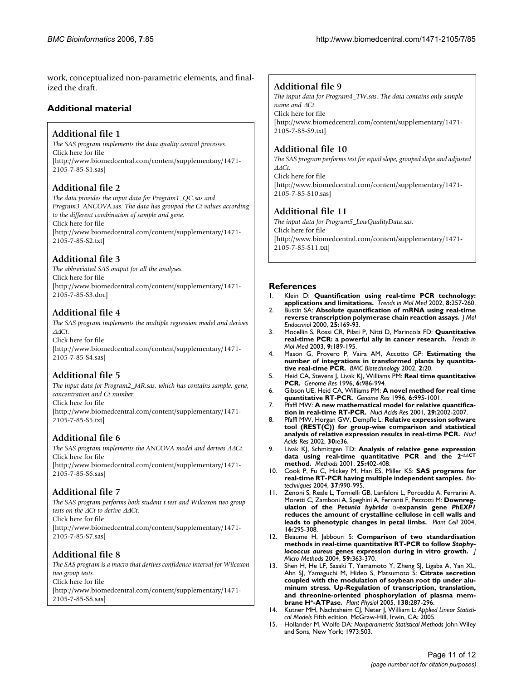work, conceptualized non-parametric elements, and finalized the draft.

# **Additional material**

# **[Additional file 1](http://www.biomedcentral.com/content/supplementary/1471-2105-7-85-S1.sas)**

*The SAS program implements the data quality control processes.* Click here for file [http://www.biomedcentral.com/content/supplementary/1471- 2105-7-85-S1.sas]

# **Additional file 2**

*The data provides the input data for Program1\_QC.sas and [Program3\\_ANCOVA.sas. The data has grouped the Ct values according](http://www.biomedcentral.com/content/supplementary/1471-2105-7-85-S2.txt)  to the different combination of sample and gene.* Click here for file [http://www.biomedcentral.com/content/supplementary/1471- 2105-7-85-S2.txt]

# **[Additional file 3](http://www.biomedcentral.com/content/supplementary/1471-2105-7-85-S3.doc)**

*The abbreviated SAS output for all the analyses.* Click here for file [http://www.biomedcentral.com/content/supplementary/1471- 2105-7-85-S3.doc]

### **Additional file 4**

*[The SAS program implements the multiple regression model and derives](http://www.biomedcentral.com/content/supplementary/1471-2105-7-85-S4.sas)*  ∆∆*Ct.* Click here for file [http://www.biomedcentral.com/content/supplementary/1471- 2105-7-85-S4.sas]

# **Additional file 5**

*[The input data for Program2\\_MR.sas, which has contains sample, gene,](http://www.biomedcentral.com/content/supplementary/1471-2105-7-85-S5.txt)  concentration and Ct number.* Click here for file [http://www.biomedcentral.com/content/supplementary/1471- 2105-7-85-S5.txt]

# **[Additional file 6](http://www.biomedcentral.com/content/supplementary/1471-2105-7-85-S6.sas)**

The SAS program implements the ANCOVA model and derives ∆∆Ct. Click here for file [http://www.biomedcentral.com/content/supplementary/1471- 2105-7-85-S6.sas]

# **Additional file 7**

*[The SAS program performs both student t test and Wilcoxon two group](http://www.biomedcentral.com/content/supplementary/1471-2105-7-85-S7.sas)  tests on the* ∆*Ct to derive* ∆∆*Ct.* Click here for file [http://www.biomedcentral.com/content/supplementary/1471- 2105-7-85-S7.sas]

#### **Additional file 8**

*[The SAS program is a macro that derives confidence interval for Wilcoxon](http://www.biomedcentral.com/content/supplementary/1471-2105-7-85-S8.sas)  two group tests.* Click here for file [http://www.biomedcentral.com/content/supplementary/1471- 2105-7-85-S8.sas]

#### **Additional file 9**

*The input data for Program4\_TW.sas. The data contains only sample name and* ∆*Ct.* Click here for file [\[http://www.biomedcentral.com/content/supplementary/1471-](http://www.biomedcentral.com/content/supplementary/1471-2105-7-85-S9.txt) 2105-7-85-S9.txt]

# **Additional file 10**

*The SAS program performs test for equal slope, grouped slope and adjusted*  ∆∆*Ct.* Click here for file

[\[http://www.biomedcentral.com/content/supplementary/1471-](http://www.biomedcentral.com/content/supplementary/1471-2105-7-85-S10.sas) 2105-7-85-S10.sas]

# **Additional file 11**

*The input data for Program5\_LowQualityData.sas.* Click here for file [\[http://www.biomedcentral.com/content/supplementary/1471-](http://www.biomedcentral.com/content/supplementary/1471-2105-7-85-S11.txt) 2105-7-85-S11.txt]

### **References**

```
1. Klein D: Quantification using real-time PCR technology:
applications and limitations. Trends in Mol Med 2002, 8:257-260.
```
- 2. Bustin SA: **[Absolute quantification of mRNA using real-time](http://www.ncbi.nlm.nih.gov/entrez/query.fcgi?cmd=Retrieve&db=PubMed&dopt=Abstract&list_uids=11013345) [reverse transcription polymerase chain reaction assays.](http://www.ncbi.nlm.nih.gov/entrez/query.fcgi?cmd=Retrieve&db=PubMed&dopt=Abstract&list_uids=11013345)** *J Mol Endocrinol* 2000, **25:**169-93.
- 3. Mocellin S, Rossi CR, Pilati P, Nitti D, Marincola FD: **Quantitative real-time PCR: a powerful ally in cancer research.** *Trends in Mol Med* 2003, **9:**189-195.
- 4. Mason G, Provero P, Vaira AM, Accotto GP: **[Estimating the](http://www.ncbi.nlm.nih.gov/entrez/query.fcgi?cmd=Retrieve&db=PubMed&dopt=Abstract&list_uids=12398792) [number of integrations in transformed plants by quantita](http://www.ncbi.nlm.nih.gov/entrez/query.fcgi?cmd=Retrieve&db=PubMed&dopt=Abstract&list_uids=12398792)[tive real-time PCR.](http://www.ncbi.nlm.nih.gov/entrez/query.fcgi?cmd=Retrieve&db=PubMed&dopt=Abstract&list_uids=12398792)** *BMC Biotechnology* 2002, **2:**20.
- 5. Heid CA, Stevens J, Livak KJ, Williams PM: **[Real time quantitative](http://www.ncbi.nlm.nih.gov/entrez/query.fcgi?cmd=Retrieve&db=PubMed&dopt=Abstract&list_uids=8908518) [PCR.](http://www.ncbi.nlm.nih.gov/entrez/query.fcgi?cmd=Retrieve&db=PubMed&dopt=Abstract&list_uids=8908518)** *Genome Res* 1996, **6:**986-994.
- 6. Gibson UE, Heid CA, Williams PM: **[A novel method for real time](http://www.ncbi.nlm.nih.gov/entrez/query.fcgi?cmd=Retrieve&db=PubMed&dopt=Abstract&list_uids=8908519) [quantitative RT-PCR.](http://www.ncbi.nlm.nih.gov/entrez/query.fcgi?cmd=Retrieve&db=PubMed&dopt=Abstract&list_uids=8908519)** *Genome Res* 1996, **6:**995-1001.
- 7. Pfaffl MW: **A new mathematical model for relative quantification in real-time RT-PCR.** *Nucl Acids Res* 2001, **29:**2002-2007.
- 8. Pfaffl MW, Horgan GW, Dempfle L: **[Relative expression software](http://www.ncbi.nlm.nih.gov/entrez/query.fcgi?cmd=Retrieve&db=PubMed&dopt=Abstract&list_uids=11972351) [tool \(REST\(C\)\) for group-wise comparison and statistical](http://www.ncbi.nlm.nih.gov/entrez/query.fcgi?cmd=Retrieve&db=PubMed&dopt=Abstract&list_uids=11972351) [analysis of relative expression results in real-time PCR.](http://www.ncbi.nlm.nih.gov/entrez/query.fcgi?cmd=Retrieve&db=PubMed&dopt=Abstract&list_uids=11972351)** *Nucl Acids Res* 2002, **30:**e36.
- <span id="page-10-0"></span>9. Livak KJ, Schmittgen TD: **Analysis of relative gene expression data using real-time quantitative PCR and the 2-**∆∆**CT [method.](http://www.ncbi.nlm.nih.gov/entrez/query.fcgi?cmd=Retrieve&db=PubMed&dopt=Abstract&list_uids=11846609)** *Methods* 2001, **25:**402-408.
- 10. Cook P, Fu C, Hickey M, Han ES, Miller KS: **[SAS programs for](http://www.ncbi.nlm.nih.gov/entrez/query.fcgi?cmd=Retrieve&db=PubMed&dopt=Abstract&list_uids=15597549) [real-time RT-PCR having multiple independent samples.](http://www.ncbi.nlm.nih.gov/entrez/query.fcgi?cmd=Retrieve&db=PubMed&dopt=Abstract&list_uids=15597549)** *Biotechniques* 2004, **37:**990-995.
- <span id="page-10-1"></span>11. Zenoni S, Reale L, Tornielli GB, Lanfaloni L, Porceddu A, Ferrarini A, Moretti C, Zamboni A, Speghini A, Ferranti F, Pezzotti M: **Downregulation of the** *Petunia hybrida* α**-expansin gene** *PhEXP1* **[reduces the amount of crystalline cellulose in cell walls and](http://www.ncbi.nlm.nih.gov/entrez/query.fcgi?cmd=Retrieve&db=PubMed&dopt=Abstract&list_uids=14742876) [leads to phenotypic changes in petal limbs.](http://www.ncbi.nlm.nih.gov/entrez/query.fcgi?cmd=Retrieve&db=PubMed&dopt=Abstract&list_uids=14742876)** *Plant Cell* 2004, **16:**295-308.
- 12. Eleaume H, Jabbouri S: **Comparison of two standardisation methods in real-time quantitative RT-PCR to follow** *Staphylococcus aureus* **genes expression during in vitro growth.** *J Micro Methods* 2004, **59:**363-370.
- <span id="page-10-2"></span>13. Shen H, He LF, Sasaki T, Yamamoto Y, Zheng SJ, Ligaba A, Yan XL, Ahn SJ, Yamaguchi M, Hideo S, Matsumoto S: **Citrate secretion coupled with the modulation of soybean root tip under aluminum stress. Up-Regulation of transcription, translation, and threonine-oriented phosphorylation of plasma membrane H+[-ATPase.](http://www.ncbi.nlm.nih.gov/entrez/query.fcgi?cmd=Retrieve&db=PubMed&dopt=Abstract&list_uids=15834009)** *Plant Physiol* 2005, **138:**287-296.
- 14. Kutner MH, Nachtsheim CJ, Neter J, William L: *Applied Linear Statistical Models* Fifth edition. McGraw-Hill, Irwin, CA; 2005.
- 15. Hollander M, Wolfe DA: *Nonparametric Statistical Methods* John Wiley and Sons, New York; 1973:503.